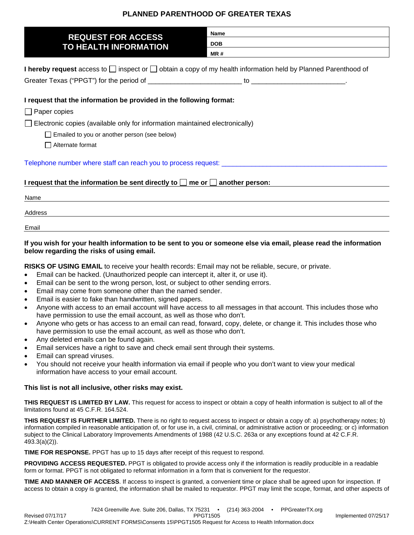## **PLANNED PARENTHOOD OF GREATER TEXAS**

| <b>REQUEST FOR ACCESS</b><br>TO HEALTH INFORMATION                                                                       | <b>Name</b> |  |
|--------------------------------------------------------------------------------------------------------------------------|-------------|--|
|                                                                                                                          | <b>DOB</b>  |  |
|                                                                                                                          | MR#         |  |
| I hereby request access to $\Box$ inspect or $\Box$ obtain a copy of my health information held by Planned Parenthood of |             |  |
|                                                                                                                          |             |  |
| I request that the information be provided in the following format:                                                      |             |  |
| $\Box$ Paper copies                                                                                                      |             |  |
| Electronic copies (available only for information maintained electronically)                                             |             |  |
| Emailed to you or another person (see below)                                                                             |             |  |
| Alternate format                                                                                                         |             |  |
|                                                                                                                          |             |  |
| I request that the information be sent directly to $\Box$ me or $\Box$ another person:                                   |             |  |
| Name                                                                                                                     |             |  |
| Address                                                                                                                  |             |  |
| Email                                                                                                                    |             |  |
|                                                                                                                          |             |  |

## **If you wish for your health information to be sent to you or someone else via email, please read the information below regarding the risks of using email.**

**RISKS OF USING EMAIL** to receive your health records: Email may not be reliable, secure, or private.

- Email can be hacked. (Unauthorized people can intercept it, alter it, or use it).
- Email can be sent to the wrong person, lost, or subject to other sending errors.
- Email may come from someone other than the named sender.
- Email is easier to fake than handwritten, signed papers.
- Anyone with access to an email account will have access to all messages in that account. This includes those who have permission to use the email account, as well as those who don't.
- Anyone who gets or has access to an email can read, forward, copy, delete, or change it. This includes those who have permission to use the email account, as well as those who don't.
- Any deleted emails can be found again.
- Email services have a right to save and check email sent through their systems.
- Email can spread viruses.
- You should not receive your health information via email if people who you don't want to view your medical information have access to your email account.

## **This list is not all inclusive, other risks may exist.**

**THIS REQUEST IS LIMITED BY LAW.** This request for access to inspect or obtain a copy of health information is subject to all of the limitations found at 45 C.F.R. 164.524.

**THIS REQUEST IS FURTHER LIMITED.** There is no right to request access to inspect or obtain a copy of: a) psychotherapy notes; b) information compiled in reasonable anticipation of, or for use in, a civil, criminal, or administrative action or proceeding; or c) information subject to the Clinical Laboratory Improvements Amendments of 1988 (42 U.S.C. 263a or any exceptions found at 42 C.F.R. 493.3(a)(2)).

**TIME FOR RESPONSE.** PPGT has up to 15 days after receipt of this request to respond.

**PROVIDING ACCESS REQUESTED.** PPGT is obligated to provide access only if the information is readily producible in a readable form or format. PPGT is not obligated to reformat information in a form that is convenient for the requestor.

**TIME AND MANNER OF ACCESS**. If access to inspect is granted, a convenient time or place shall be agreed upon for inspection. If access to obtain a copy is granted, the information shall be mailed to requestor. PPGT may limit the scope, format, and other aspects of